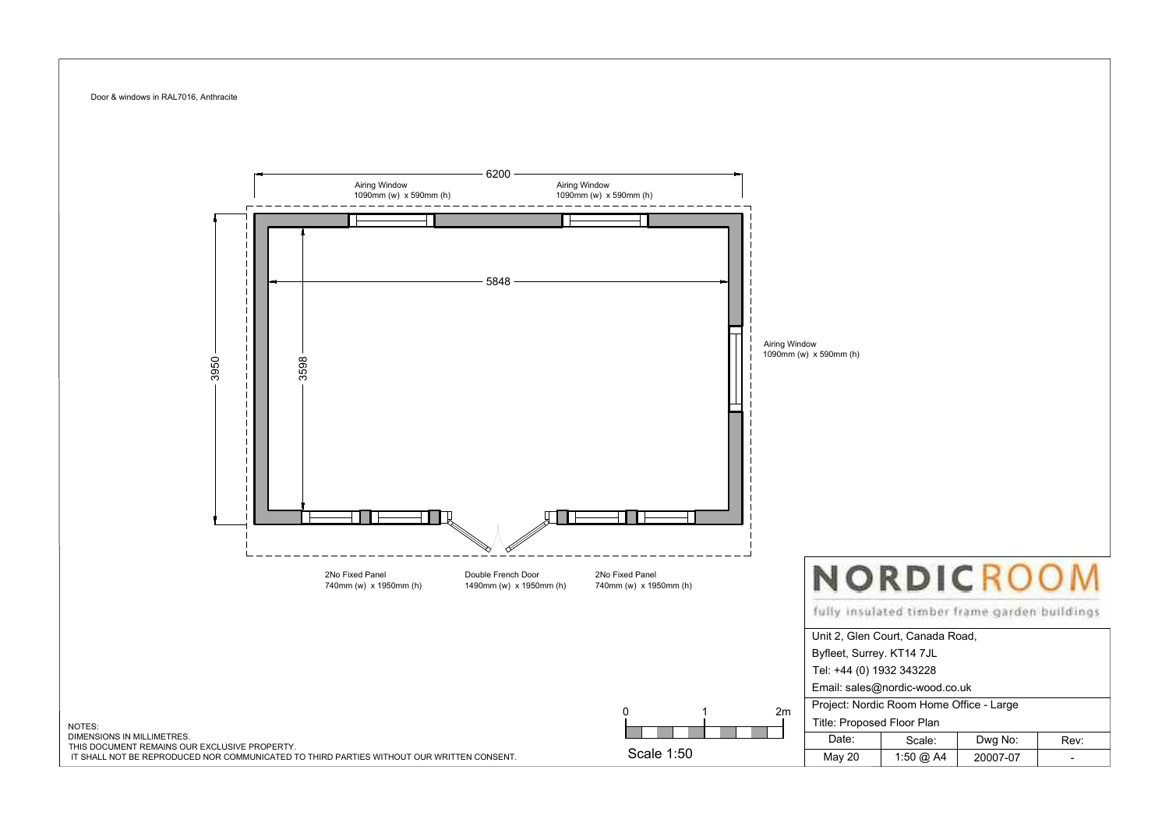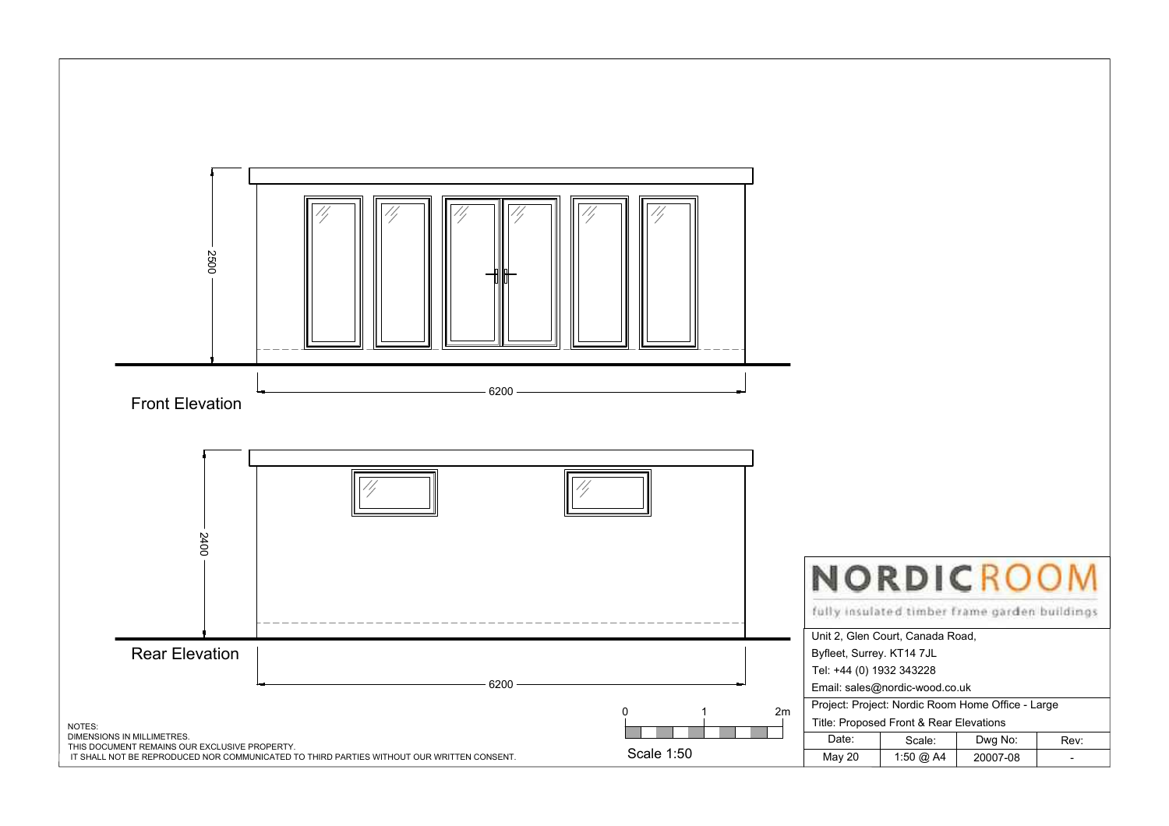